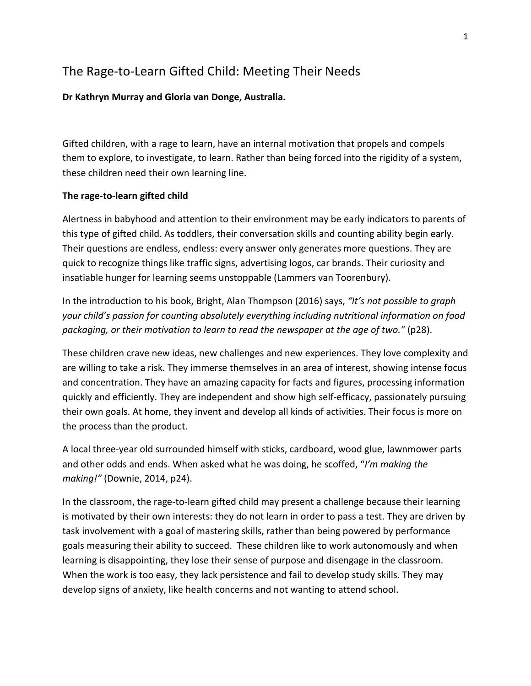# The Rage-to-Learn Gifted Child: Meeting Their Needs

### **Dr Kathryn Murray and Gloria van Donge, Australia.**

Gifted children, with a rage to learn, have an internal motivation that propels and compels them to explore, to investigate, to learn. Rather than being forced into the rigidity of a system, these children need their own learning line.

#### **The rage-to-learn gifted child**

Alertness in babyhood and attention to their environment may be early indicators to parents of this type of gifted child. As toddlers, their conversation skills and counting ability begin early. Their questions are endless, endless: every answer only generates more questions. They are quick to recognize things like traffic signs, advertising logos, car brands. Their curiosity and insatiable hunger for learning seems unstoppable (Lammers van Toorenbury).

In the introduction to his book, Bright, Alan Thompson (2016) says, *"It's not possible to graph your child's passion for counting absolutely everything including nutritional information on food packaging, or their motivation to learn to read the newspaper at the age of two."* (p28).

These children crave new ideas, new challenges and new experiences. They love complexity and are willing to take a risk. They immerse themselves in an area of interest, showing intense focus and concentration. They have an amazing capacity for facts and figures, processing information quickly and efficiently. They are independent and show high self-efficacy, passionately pursuing their own goals. At home, they invent and develop all kinds of activities. Their focus is more on the process than the product.

A local three-year old surrounded himself with sticks, cardboard, wood glue, lawnmower parts and other odds and ends. When asked what he was doing, he scoffed, "*I'm making the making!"* (Downie, 2014, p24).

In the classroom, the rage-to-learn gifted child may present a challenge because their learning is motivated by their own interests: they do not learn in order to pass a test. They are driven by task involvement with a goal of mastering skills, rather than being powered by performance goals measuring their ability to succeed. These children like to work autonomously and when learning is disappointing, they lose their sense of purpose and disengage in the classroom. When the work is too easy, they lack persistence and fail to develop study skills. They may develop signs of anxiety, like health concerns and not wanting to attend school.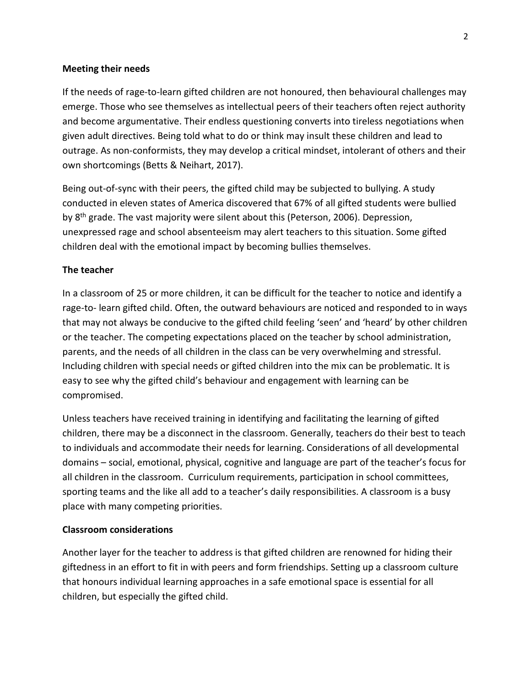### **Meeting their needs**

If the needs of rage-to-learn gifted children are not honoured, then behavioural challenges may emerge. Those who see themselves as intellectual peers of their teachers often reject authority and become argumentative. Their endless questioning converts into tireless negotiations when given adult directives. Being told what to do or think may insult these children and lead to outrage. As non-conformists, they may develop a critical mindset, intolerant of others and their own shortcomings (Betts & Neihart, 2017).

Being out-of-sync with their peers, the gifted child may be subjected to bullying. A study conducted in eleven states of America discovered that 67% of all gifted students were bullied by 8<sup>th</sup> grade. The vast majority were silent about this (Peterson, 2006). Depression, unexpressed rage and school absenteeism may alert teachers to this situation. Some gifted children deal with the emotional impact by becoming bullies themselves.

## **The teacher**

In a classroom of 25 or more children, it can be difficult for the teacher to notice and identify a rage-to- learn gifted child. Often, the outward behaviours are noticed and responded to in ways that may not always be conducive to the gifted child feeling 'seen' and 'heard' by other children or the teacher. The competing expectations placed on the teacher by school administration, parents, and the needs of all children in the class can be very overwhelming and stressful. Including children with special needs or gifted children into the mix can be problematic. It is easy to see why the gifted child's behaviour and engagement with learning can be compromised.

Unless teachers have received training in identifying and facilitating the learning of gifted children, there may be a disconnect in the classroom. Generally, teachers do their best to teach to individuals and accommodate their needs for learning. Considerations of all developmental domains – social, emotional, physical, cognitive and language are part of the teacher's focus for all children in the classroom. Curriculum requirements, participation in school committees, sporting teams and the like all add to a teacher's daily responsibilities. A classroom is a busy place with many competing priorities.

## **Classroom considerations**

Another layer for the teacher to address is that gifted children are renowned for hiding their giftedness in an effort to fit in with peers and form friendships. Setting up a classroom culture that honours individual learning approaches in a safe emotional space is essential for all children, but especially the gifted child.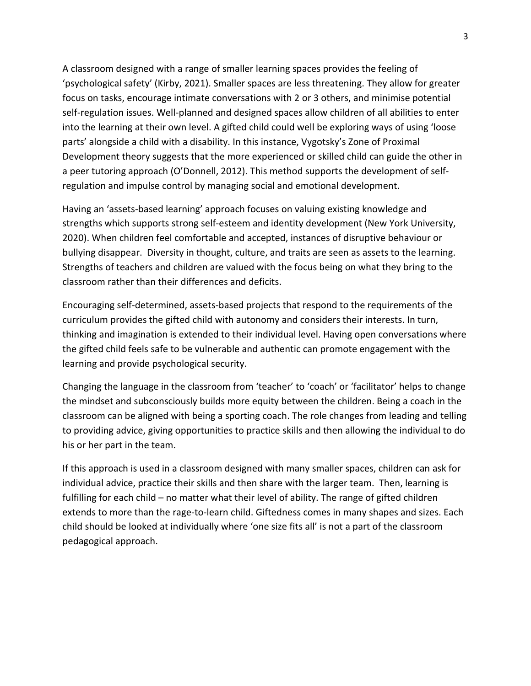A classroom designed with a range of smaller learning spaces provides the feeling of 'psychological safety' (Kirby, 2021). Smaller spaces are less threatening. They allow for greater focus on tasks, encourage intimate conversations with 2 or 3 others, and minimise potential self-regulation issues. Well-planned and designed spaces allow children of all abilities to enter into the learning at their own level. A gifted child could well be exploring ways of using 'loose parts' alongside a child with a disability. In this instance, Vygotsky's Zone of Proximal Development theory suggests that the more experienced or skilled child can guide the other in a peer tutoring approach (O'Donnell, 2012). This method supports the development of selfregulation and impulse control by managing social and emotional development.

Having an 'assets-based learning' approach focuses on valuing existing knowledge and strengths which supports strong self-esteem and identity development (New York University, 2020). When children feel comfortable and accepted, instances of disruptive behaviour or bullying disappear. Diversity in thought, culture, and traits are seen as assets to the learning. Strengths of teachers and children are valued with the focus being on what they bring to the classroom rather than their differences and deficits.

Encouraging self-determined, assets-based projects that respond to the requirements of the curriculum provides the gifted child with autonomy and considers their interests. In turn, thinking and imagination is extended to their individual level. Having open conversations where the gifted child feels safe to be vulnerable and authentic can promote engagement with the learning and provide psychological security.

Changing the language in the classroom from 'teacher' to 'coach' or 'facilitator' helps to change the mindset and subconsciously builds more equity between the children. Being a coach in the classroom can be aligned with being a sporting coach. The role changes from leading and telling to providing advice, giving opportunities to practice skills and then allowing the individual to do his or her part in the team.

If this approach is used in a classroom designed with many smaller spaces, children can ask for individual advice, practice their skills and then share with the larger team. Then, learning is fulfilling for each child – no matter what their level of ability. The range of gifted children extends to more than the rage-to-learn child. Giftedness comes in many shapes and sizes. Each child should be looked at individually where 'one size fits all' is not a part of the classroom pedagogical approach.